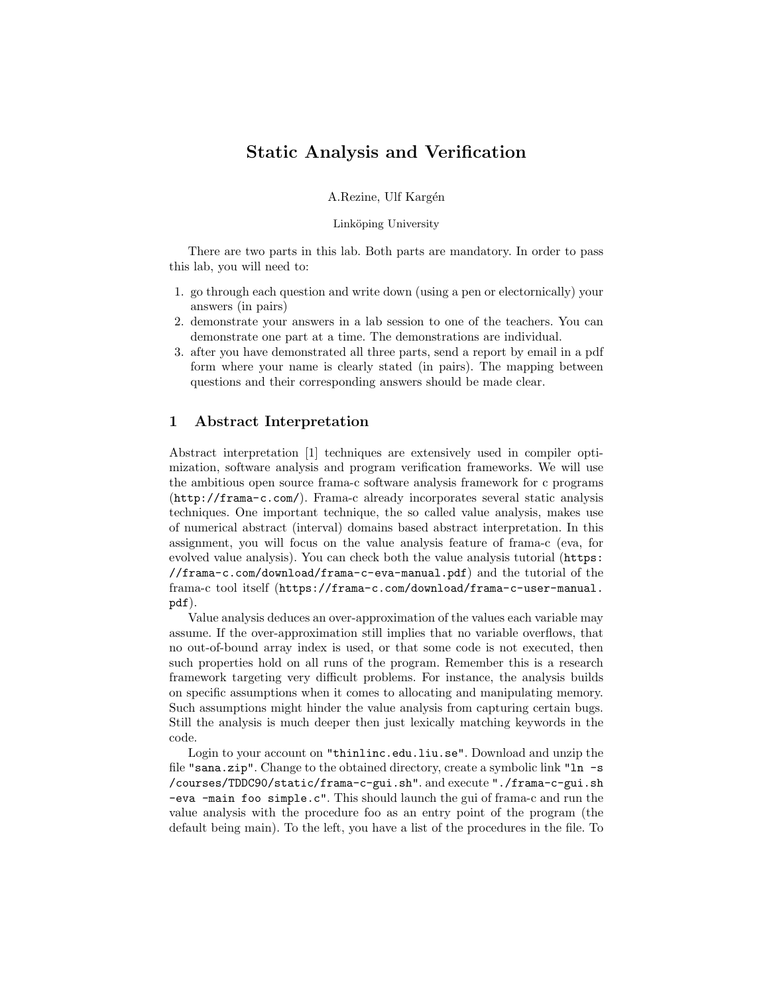# Static Analysis and Verification

A.Rezine, Ulf Kargén

#### Linköping University

There are two parts in this lab. Both parts are mandatory. In order to pass this lab, you will need to:

- 1. go through each question and write down (using a pen or electornically) your answers (in pairs)
- 2. demonstrate your answers in a lab session to one of the teachers. You can demonstrate one part at a time. The demonstrations are individual.
- 3. after you have demonstrated all three parts, send a report by email in a pdf form where your name is clearly stated (in pairs). The mapping between questions and their corresponding answers should be made clear.

### 1 Abstract Interpretation

Abstract interpretation [1] techniques are extensively used in compiler optimization, software analysis and program verification frameworks. We will use the ambitious open source frama-c software analysis framework for c programs (http://frama-c.com/). Frama-c already incorporates several static analysis techniques. One important technique, the so called value analysis, makes use of numerical abstract (interval) domains based abstract interpretation. In this assignment, you will focus on the value analysis feature of frama-c (eva, for evolved value analysis). You can check both the value analysis tutorial (https: //frama-c.com/download/frama-c-eva-manual.pdf) and the tutorial of the frama-c tool itself (https://frama-c.com/download/frama-c-user-manual. pdf).

Value analysis deduces an over-approximation of the values each variable may assume. If the over-approximation still implies that no variable overflows, that no out-of-bound array index is used, or that some code is not executed, then such properties hold on all runs of the program. Remember this is a research framework targeting very difficult problems. For instance, the analysis builds on specific assumptions when it comes to allocating and manipulating memory. Such assumptions might hinder the value analysis from capturing certain bugs. Still the analysis is much deeper then just lexically matching keywords in the code.

Login to your account on "thinlinc.edu.liu.se". Download and unzip the file "sana.zip". Change to the obtained directory, create a symbolic link "ln -s /courses/TDDC90/static/frama-c-gui.sh". and execute "./frama-c-gui.sh -eva -main foo simple.c". This should launch the gui of frama-c and run the value analysis with the procedure foo as an entry point of the program (the default being main). To the left, you have a list of the procedures in the file. To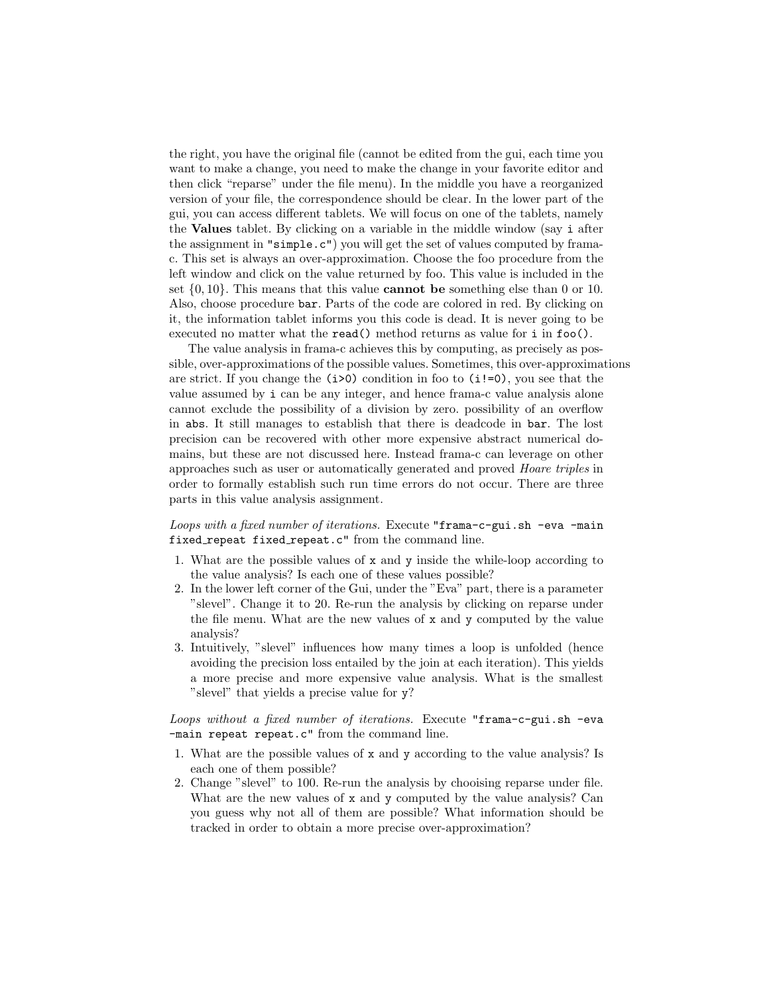the right, you have the original file (cannot be edited from the gui, each time you want to make a change, you need to make the change in your favorite editor and then click "reparse" under the file menu). In the middle you have a reorganized version of your file, the correspondence should be clear. In the lower part of the gui, you can access different tablets. We will focus on one of the tablets, namely the Values tablet. By clicking on a variable in the middle window (say i after the assignment in "simple.c") you will get the set of values computed by framac. This set is always an over-approximation. Choose the foo procedure from the left window and click on the value returned by foo. This value is included in the set  $\{0, 10\}$ . This means that this value **cannot** be something else than 0 or 10. Also, choose procedure bar. Parts of the code are colored in red. By clicking on it, the information tablet informs you this code is dead. It is never going to be executed no matter what the **read**() method returns as value for **i** in **f**oo().

The value analysis in frama-c achieves this by computing, as precisely as possible, over-approximations of the possible values. Sometimes, this over-approximations are strict. If you change the  $(i>0)$  condition in foo to  $(i!=0)$ , you see that the value assumed by i can be any integer, and hence frama-c value analysis alone cannot exclude the possibility of a division by zero. possibility of an overflow in abs. It still manages to establish that there is deadcode in bar. The lost precision can be recovered with other more expensive abstract numerical domains, but these are not discussed here. Instead frama-c can leverage on other approaches such as user or automatically generated and proved Hoare triples in order to formally establish such run time errors do not occur. There are three parts in this value analysis assignment.

Loops with a fixed number of iterations. Execute "frama-c-gui.sh -eva -main fixed repeat fixed repeat.c" from the command line.

- 1. What are the possible values of x and y inside the while-loop according to the value analysis? Is each one of these values possible?
- 2. In the lower left corner of the Gui, under the "Eva" part, there is a parameter "slevel". Change it to 20. Re-run the analysis by clicking on reparse under the file menu. What are the new values of x and y computed by the value analysis?
- 3. Intuitively, "slevel" influences how many times a loop is unfolded (hence avoiding the precision loss entailed by the join at each iteration). This yields a more precise and more expensive value analysis. What is the smallest "slevel" that yields a precise value for y?

Loops without a fixed number of iterations. Execute "frama-c-gui.sh -eva -main repeat repeat.c" from the command line.

- 1. What are the possible values of x and y according to the value analysis? Is each one of them possible?
- 2. Change "slevel" to 100. Re-run the analysis by chooising reparse under file. What are the new values of x and y computed by the value analysis? Can you guess why not all of them are possible? What information should be tracked in order to obtain a more precise over-approximation?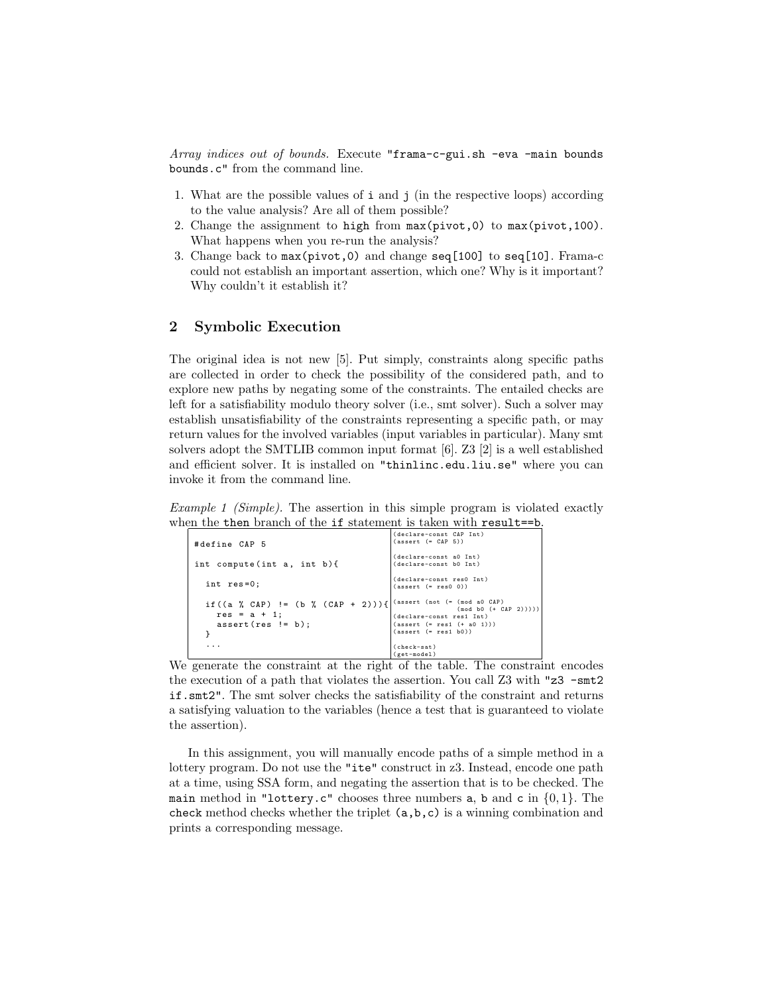Array indices out of bounds. Execute "frama-c-gui.sh -eva -main bounds bounds.c" from the command line.

- 1. What are the possible values of i and j (in the respective loops) according to the value analysis? Are all of them possible?
- 2. Change the assignment to high from max(pivot,0) to max(pivot,100). What happens when you re-run the analysis?
- 3. Change back to max(pivot,0) and change seq[100] to seq[10]. Frama-c could not establish an important assertion, which one? Why is it important? Why couldn't it establish it?

# 2 Symbolic Execution

The original idea is not new [5]. Put simply, constraints along specific paths are collected in order to check the possibility of the considered path, and to explore new paths by negating some of the constraints. The entailed checks are left for a satisfiability modulo theory solver (i.e., smt solver). Such a solver may establish unsatisfiability of the constraints representing a specific path, or may return values for the involved variables (input variables in particular). Many smt solvers adopt the SMTLIB common input format [6]. Z3 [2] is a well established and efficient solver. It is installed on "thinlinc.edu.liu.se" where you can invoke it from the command line.

Example 1 (Simple). The assertion in this simple program is violated exactly when the then branch of the if statement is taken with result==b.

| #define CAP 5                                                                                                           | (declare-const CAP Int)<br>$(assert (= CAP 5))$                                                              |
|-------------------------------------------------------------------------------------------------------------------------|--------------------------------------------------------------------------------------------------------------|
| int compute (int $a$ , int $b$ ) {                                                                                      | (declare-const a0 Int)<br>(declare-const b0 Int)                                                             |
| int res=0;                                                                                                              | (declare-const res0 Int)<br>$(assert (= res0 0))$                                                            |
| if $((a \ % CAP) != (b \ % (CAP + 2))) {\nvert (assert (not (= (mod a 0 CAP)$<br>$res = a + 1$ :<br>$assert(res != b);$ | $(mod b0 (+ CAP 2))))$<br>(declare-const resi Int)<br>$(assert (= res1 (+ a0 1)))$<br>$(assert (= rest b0))$ |
|                                                                                                                         | (check-sat)<br>$(get-model)$                                                                                 |

We generate the constraint at the right of the table. The constraint encodes the execution of a path that violates the assertion. You call Z3 with "z3 -smt2 if.smt2". The smt solver checks the satisfiability of the constraint and returns a satisfying valuation to the variables (hence a test that is guaranteed to violate the assertion).

In this assignment, you will manually encode paths of a simple method in a lottery program. Do not use the "ite" construct in z3. Instead, encode one path at a time, using SSA form, and negating the assertion that is to be checked. The main method in "lottery.c" chooses three numbers a, b and c in  $\{0, 1\}$ . The check method checks whether the triplet (a,b,c) is a winning combination and prints a corresponding message.